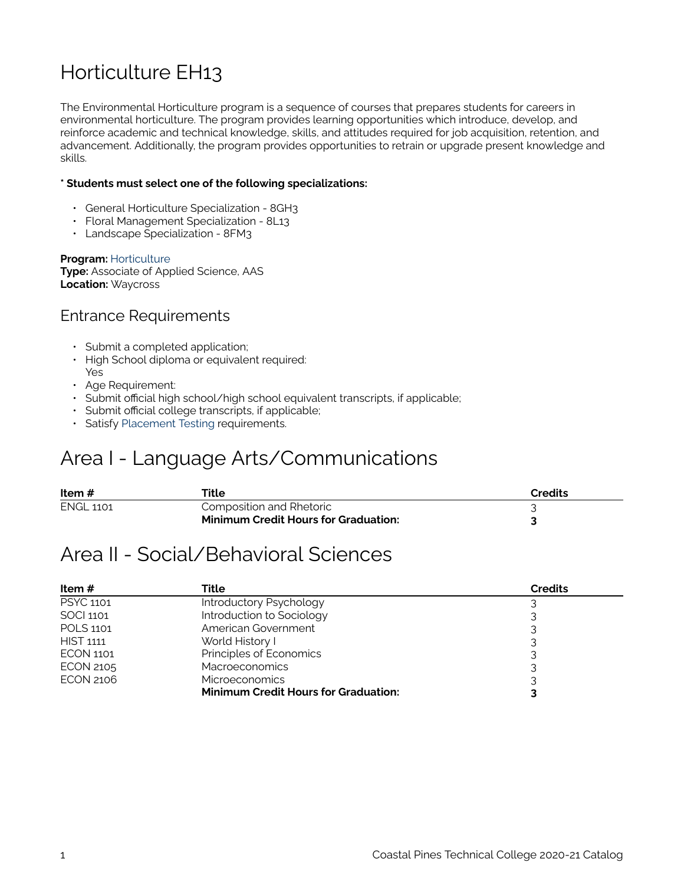## Horticulture EH13

The Environmental Horticulture program is a sequence of courses that prepares students for careers in environmental horticulture. The program provides learning opportunities which introduce, develop, and reinforce academic and technical knowledge, skills, and attitudes required for job acquisition, retention, and advancement. Additionally, the program provides opportunities to retrain or upgrade present knowledge and skills.

#### **\* Students must select one of the following specializations:**

- General Horticulture Specialization 8GH3
- Floral Management Specialization 8L13
- Landscape Specialization 8FM3

**Program:** [Horticulture](https://catalog.coastalpines.edu/horticulture)  **Type:** Associate of Applied Science, AAS

**Location:** Waycross

#### Entrance Requirements

- Submit a completed application;
- High School diploma or equivalent required: Yes
- Age Requirement:
- Submit official high school/high school equivalent transcripts, if applicable;
- Submit official college transcripts, if applicable;
- Satisfy [Placement Testing](https://catalog.coastalpines.edu/sites/default/files/Placement%20Testing.docx) requirements.

### Area I - Language Arts/Communications

| Item #           | Title                                       | Credits |
|------------------|---------------------------------------------|---------|
| <b>ENGL 1101</b> | Composition and Rhetoric                    |         |
|                  | <b>Minimum Credit Hours for Graduation:</b> |         |

#### Area II - Social/Behavioral Sciences

| Item $#$         | Title                                       | <b>Credits</b> |
|------------------|---------------------------------------------|----------------|
| <b>PSYC 1101</b> | Introductory Psychology                     |                |
| SOCI 1101        | Introduction to Sociology                   |                |
| <b>POLS 1101</b> | American Government                         |                |
| <b>HIST 1111</b> | World History I                             |                |
| <b>ECON 1101</b> | Principles of Economics                     |                |
| <b>ECON 2105</b> | <b>Macroeconomics</b>                       |                |
| <b>ECON 2106</b> | <b>Microeconomics</b>                       |                |
|                  | <b>Minimum Credit Hours for Graduation:</b> |                |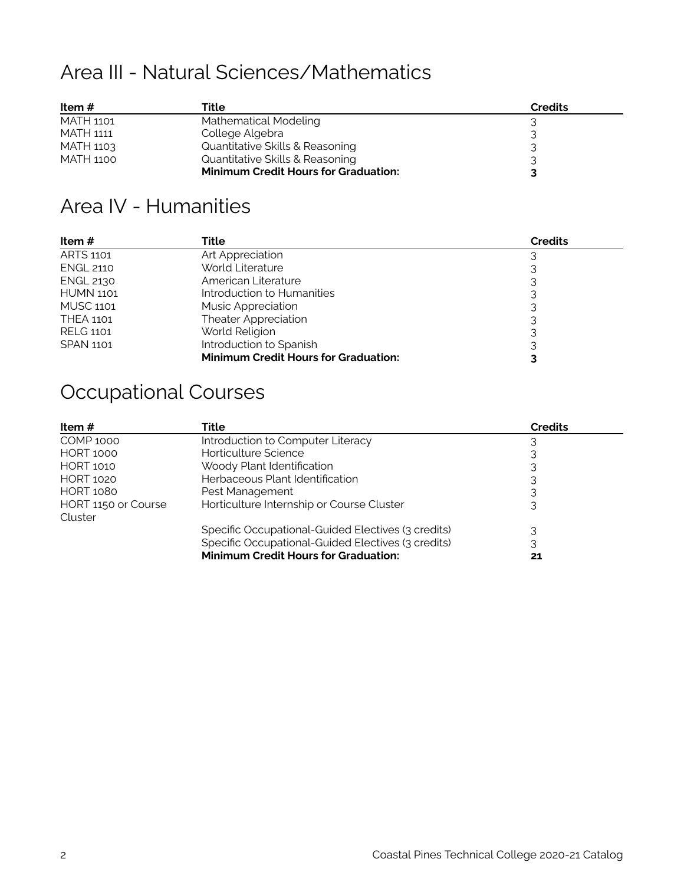# Area III - Natural Sciences/Mathematics

| Item $#$  | Title                                       | <b>Credits</b> |
|-----------|---------------------------------------------|----------------|
| MATH 1101 | Mathematical Modeling                       |                |
| MATH 1111 | College Algebra                             |                |
| MATH 1103 | Quantitative Skills & Reasoning             |                |
| MATH 1100 | Quantitative Skills & Reasoning             |                |
|           | <b>Minimum Credit Hours for Graduation:</b> |                |

### Area IV - Humanities

| Item #           | Title                                       | <b>Credits</b> |
|------------------|---------------------------------------------|----------------|
| ARTS 1101        | Art Appreciation                            |                |
| <b>ENGL 2110</b> | World Literature                            |                |
| <b>ENGL 2130</b> | American Literature                         |                |
| <b>HUMN 1101</b> | Introduction to Humanities                  |                |
| <b>MUSC 1101</b> | <b>Music Appreciation</b>                   |                |
| <b>THEA 1101</b> | Theater Appreciation                        |                |
| <b>RELG 1101</b> | World Religion                              |                |
| <b>SPAN 1101</b> | Introduction to Spanish                     |                |
|                  | <b>Minimum Credit Hours for Graduation:</b> |                |

# Occupational Courses

| Item #                         | Title                                              | <b>Credits</b> |
|--------------------------------|----------------------------------------------------|----------------|
| <b>COMP 1000</b>               | Introduction to Computer Literacy                  |                |
| <b>HORT 1000</b>               | Horticulture Science                               |                |
| <b>HORT 1010</b>               | Woody Plant Identification                         |                |
| <b>HORT 1020</b>               | Herbaceous Plant Identification                    |                |
| <b>HORT 1080</b>               | Pest Management                                    |                |
| HORT 1150 or Course<br>Cluster | Horticulture Internship or Course Cluster          |                |
|                                | Specific Occupational-Guided Electives (3 credits) |                |
|                                | Specific Occupational-Guided Electives (3 credits) |                |
|                                | <b>Minimum Credit Hours for Graduation:</b>        |                |